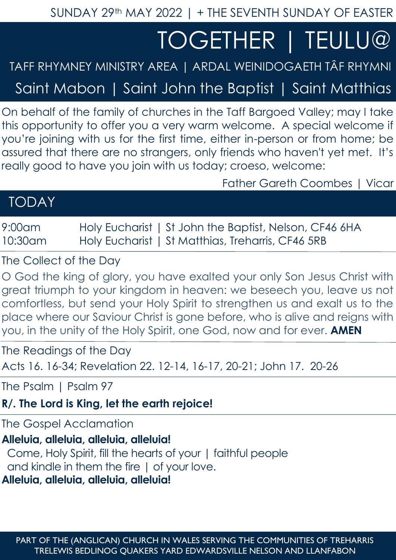SUNDAY 29th MAY 2022 | + THE SEVENTH SUNDAY OF EASTER

# TOGETHER | TEULU@

## TAFF RHYMNEY MINISTRY AREA | ARDAL WEINIDOGAETH TÂF RHYMNI

Saint Mabon | Saint John the Baptist | Saint Matthias

On behalf of the family of churches in the Taff Bargoed Valley; may I take this opportunity to offer you a very warm welcome. A special welcome if you're joining with us for the first time, either in-person or from home; be assured that there are no strangers, only friends who haven't yet met. It's really good to have you join with us today; croeso, welcome:

Father Gareth Coombes | Vicar

| <b>TODAY</b> |  |  |
|--------------|--|--|
|              |  |  |

9:00am Holy Eucharist | St John the Baptist, Nelson, CF46 6HA 10:30am Holy Eucharist | St Matthias, Treharris, CF46 5RB

The Collect of the Day

O God the king of glory, you have exalted your only Son Jesus Christ with great triumph to your kingdom in heaven: we beseech you, leave us not comfortless, but send your Holy Spirit to strengthen us and exalt us to the place where our Saviour Christ is gone before, who is alive and reigns with you, in the unity of the Holy Spirit, one God, now and for ever. **AMEN**

The Readings of the Day

Acts 16. 16-34; Revelation 22. 12-14, 16-17, 20-21; John 17. 20-26

The Psalm | Psalm 97

**R/. The Lord is King, let the earth rejoice!**

The Gospel Acclamation

## **Alleluia, alleluia, alleluia, alleluia!**

 Come, Holy Spirit, fill the hearts of your | faithful people and kindle in them the fire | of your love.

**Alleluia, alleluia, alleluia, alleluia!**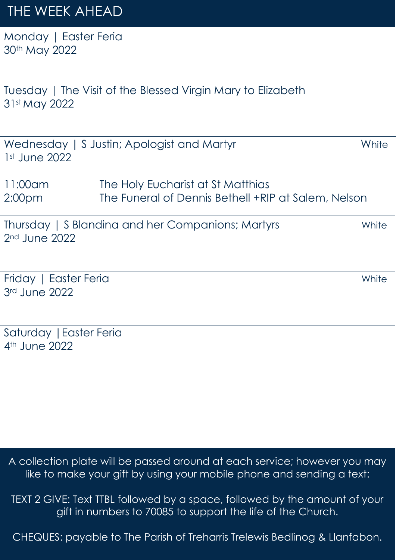# THE WEEK AHEAD

Monday | Easter Feria 30th May 2022

Tuesday | The Visit of the Blessed Virgin Mary to Elizabeth 31st May 2022

| $1st$ June 2022               | Wednesday   S Justin; Apologist and Martyr                                               | White |
|-------------------------------|------------------------------------------------------------------------------------------|-------|
| 11:00am<br>2:00 <sub>pm</sub> | The Holy Eucharist at St Matthias<br>The Funeral of Dennis Bethell +RIP at Salem, Nelson |       |
| $2nd$ June 2022               | Thursday   S Blandina and her Companions; Martyrs                                        | White |

Friday | Easter Feria White 3rd June 2022

Saturday |Easter Feria 4th June 2022

A collection plate will be passed around at each service; however you may like to make your gift by using your mobile phone and sending a text:

TEXT 2 GIVE: Text TTBL followed by a space, followed by the amount of your gift in numbers to 70085 to support the life of the Church.

CHEQUES: payable to The Parish of Treharris Trelewis Bedlinog & Llanfabon.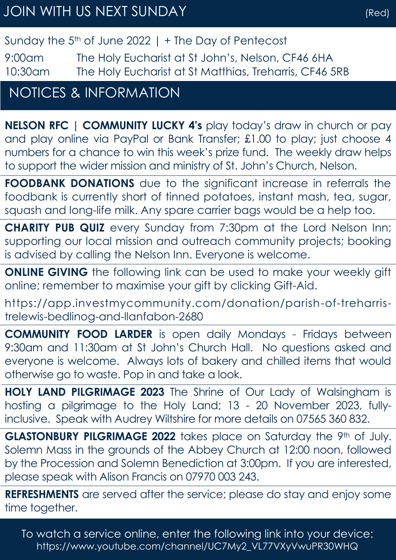## Sunday the  $5<sup>th</sup>$  of June 2022 | + The Day of Pentecost

9:00am The Holy Eucharist at St John's, Nelson, CF46 6HA 10:30am The Holy Eucharist at St Matthias, Treharris, CF46 5RB

# NOTICES & INFORMATION

**NELSON RFC | COMMUNITY LUCKY 4's** play today's draw in church or pay and play online via PayPal or Bank Transfer; £1.00 to play; just choose 4 numbers for a chance to win this week's prize fund. The weekly draw helps to support the wider mission and ministry of St. John's Church, Nelson.

**FOODBANK DONATIONS** due to the significant increase in referrals the foodbank is currently short of tinned potatoes, instant mash, tea, sugar, squash and long-life milk. Any spare carrier bags would be a help too.

**CHARITY PUB QUIZ** every Sunday from 7:30pm at the Lord Nelson Inn; supporting our local mission and outreach community projects; booking is advised by calling the Nelson Inn. Everyone is welcome.

**ONLINE GIVING** the following link can be used to make your weekly gift online; remember to maximise your gift by clicking Gift-Aid.

https://app.investmycommunity.com/donation/parish-of-treharristrelewis-bedlinog-and-llanfabon-2680

**COMMUNITY FOOD LARDER** is open daily Mondays - Fridays between 9:30am and 11:30am at St John's Church Hall. No questions asked and everyone is welcome. Always lots of bakery and chilled items that would otherwise go to waste. Pop in and take a look.

**HOLY LAND PILGRIMAGE 2023** The Shrine of Our Lady of Walsingham is hosting a pilgrimage to the Holy Land; 13 - 20 November 2023, fullyinclusive. Speak with Audrey Wiltshire for more details on 07565 360 832.

GLASTONBURY PILGRIMAGE 2022 takes place on Saturday the 9th of July. Solemn Mass in the grounds of the Abbey Church at 12:00 noon, followed by the Procession and Solemn Benediction at 3:00pm. If you are interested, please speak with Alison Francis on 07970 003 243.

**REFRESHMENTS** are served after the service; please do stay and enjoy some time together.

To watch a service online, enter the following link into your device: https://www.youtube.com/channel/UC7My2\_VL77VXyVwuPR30WHQ